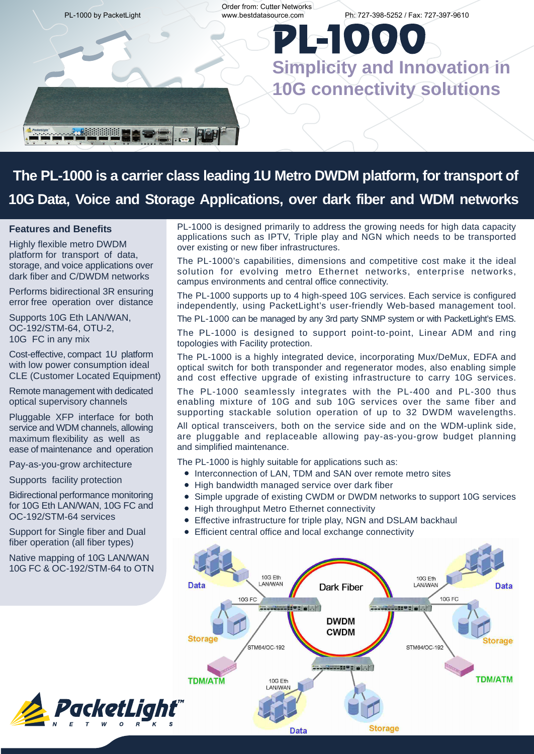

## **The PL-1000 is a carrier class leading 1U Metro DWDM platform, for transport of 10G Data, Voice and Storage Applications, over dark fiber and WDM networks**

#### **Features and Benefits**

Highly flexible metro DWDM platform for transport of data, storage, and voice applications over dark fiber and C/DWDM networks

Performs bidirectional 3R ensuring error free operation over distance

Supports 10G Eth LAN/WAN, OC-192/STM-64, OTU-2, 10G FC in any mix

Cost-effective, compact 1U platform with low power consumption ideal CLE (Customer Located Equipment)

Remote management with dedicated optical supervisory channels

Pluggable XFP interface for both service and WDM channels, allowing maximum flexibility as well as ease of maintenance and operation

Pay-as-you-grow architecture

Supports facility protection

Bidirectional performance monitoring for 10G Eth LAN/WAN, 10G FC and OC-192/STM-64 services

Support for Single fiber and Dual fiber operation (all fiber types)

Native mapping of 10G LAN/WAN 10G FC & OC-192/STM-64 to OTN



PL-1000 is designed primarily to address the growing needs for high data capacity applications such as IPTV, Triple play and NGN which needs to be transported over existing or new fiber infrastructures.

The PL-1000's capabilities, dimensions and competitive cost make it the ideal solution for evolving metro Ethernet networks, enterprise networks, campus environments and central office connectivity.

The PL-1000 supports up to 4 high-speed 10G services. Each service is configured independently, using PacketLight's user-friendly Web-based management tool.

The PL-1000 can be managed by any 3rd party SNMP system or with PacketLight's EMS.

The PL-1000 is designed to support point-to-point, Linear ADM and ring topologies with Facility protection.

The PL-1000 is a highly integrated device, incorporating Mux/DeMux, EDFA and optical switch for both transponder and regenerator modes, also enabling simple and cost effective upgrade of existing infrastructure to carry 10G services.

The PL-1000 seamlessly integrates with the PL-400 and PL-300 thus enabling mixture of 10G and sub 10G services over the same fiber and supporting stackable solution operation of up to 32 DWDM wavelengths.

All optical transceivers, both on the service side and on the WDM-uplink side, are pluggable and replaceable allowing pay-as-you-grow budget planning and simplified maintenance.

The PL-1000 is highly suitable for applications such as:

- $\bullet$  Interconnection of LAN, TDM and SAN over remote metro sites
- High bandwidth managed service over dark fiber
- Simple upgrade of existing CWDM or DWDM networks to support 10G services  $\bullet$
- $\bullet$ High throughput Metro Ethernet connectivity
- Effective infrastructure for triple play, NGN and DSLAM backhaul  $\bullet$
- Efficient central office and local exchange connectivity